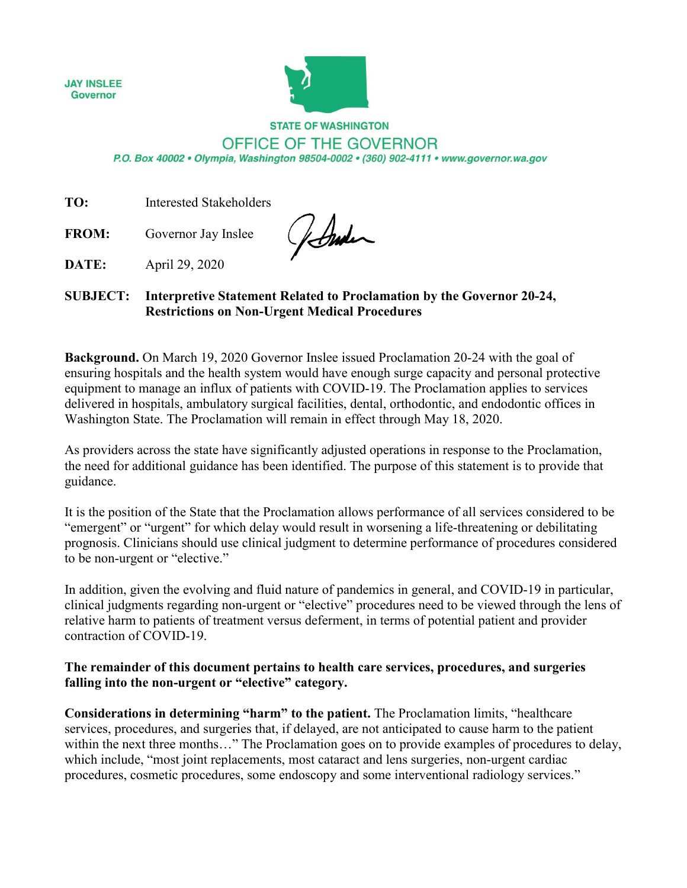**JAY INSLEE Governor** 



## **STATE OF WASHINGTON** OFFICE OF THE GOVERNOR

P.O. Box 40002 · Olympia, Washington 98504-0002 · (360) 902-4111 · www.governor.wa.gov

**TO:** Interested Stakeholders

**FROM:** Governor Jay Inslee

forder

**DATE:** April 29, 2020

## **SUBJECT: Interpretive Statement Related to Proclamation by the Governor 20-24, Restrictions on Non-Urgent Medical Procedures**

**Background.** On March 19, 2020 Governor Inslee issued Proclamation 20-24 with the goal of ensuring hospitals and the health system would have enough surge capacity and personal protective equipment to manage an influx of patients with COVID-19. The Proclamation applies to services delivered in hospitals, ambulatory surgical facilities, dental, orthodontic, and endodontic offices in Washington State. The Proclamation will remain in effect through May 18, 2020.

As providers across the state have significantly adjusted operations in response to the Proclamation, the need for additional guidance has been identified. The purpose of this statement is to provide that guidance.

It is the position of the State that the Proclamation allows performance of all services considered to be "emergent" or "urgent" for which delay would result in worsening a life-threatening or debilitating prognosis. Clinicians should use clinical judgment to determine performance of procedures considered to be non-urgent or "elective."

In addition, given the evolving and fluid nature of pandemics in general, and COVID-19 in particular, clinical judgments regarding non-urgent or "elective" procedures need to be viewed through the lens of relative harm to patients of treatment versus deferment, in terms of potential patient and provider contraction of COVID-19.

## **The remainder of this document pertains to health care services, procedures, and surgeries falling into the non-urgent or "elective" category.**

**Considerations in determining "harm" to the patient.** The Proclamation limits, "healthcare services, procedures, and surgeries that, if delayed, are not anticipated to cause harm to the patient within the next three months..." The Proclamation goes on to provide examples of procedures to delay, which include, "most joint replacements, most cataract and lens surgeries, non-urgent cardiac procedures, cosmetic procedures, some endoscopy and some interventional radiology services."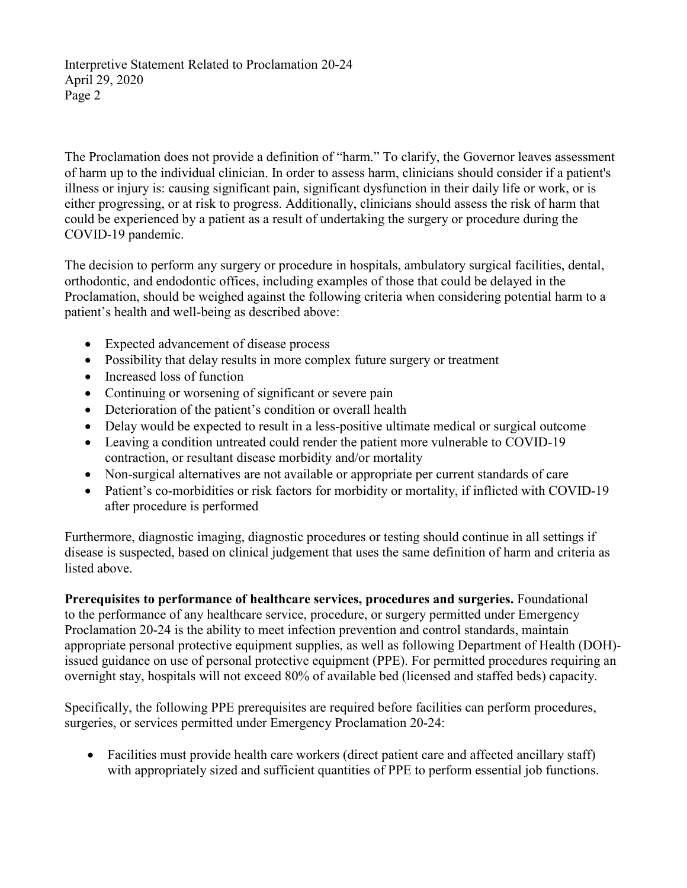Interpretive Statement Related to Proclamation 20-24 April 29, 2020 Page 2

The Proclamation does not provide a definition of "harm." To clarify, the Governor leaves assessment of harm up to the individual clinician. In order to assess harm, clinicians should consider if a patient's illness or injury is: causing significant pain, significant dysfunction in their daily life or work, or is either progressing, or at risk to progress. Additionally, clinicians should assess the risk of harm that could be experienced by a patient as a result of undertaking the surgery or procedure during the COVID-19 pandemic.

The decision to perform any surgery or procedure in hospitals, ambulatory surgical facilities, dental, orthodontic, and endodontic offices, including examples of those that could be delayed in the Proclamation, should be weighed against the following criteria when considering potential harm to a patient's health and well-being as described above:

- Expected advancement of disease process
- Possibility that delay results in more complex future surgery or treatment
- Increased loss of function
- Continuing or worsening of significant or severe pain
- Deterioration of the patient's condition or overall health
- Delay would be expected to result in a less-positive ultimate medical or surgical outcome
- Leaving a condition untreated could render the patient more vulnerable to COVID-19 contraction, or resultant disease morbidity and/or mortality
- Non-surgical alternatives are not available or appropriate per current standards of care
- Patient's co-morbidities or risk factors for morbidity or mortality, if inflicted with COVID-19 after procedure is performed

Furthermore, diagnostic imaging, diagnostic procedures or testing should continue in all settings if disease is suspected, based on clinical judgement that uses the same definition of harm and criteria as listed above.

**Prerequisites to performance of healthcare services, procedures and surgeries.** Foundational to the performance of any healthcare service, procedure, or surgery permitted under Emergency Proclamation 20-24 is the ability to meet infection prevention and control standards, maintain appropriate personal protective equipment supplies, as well as following Department of Health (DOH) issued guidance on use of personal protective equipment (PPE). For permitted procedures requiring an overnight stay, hospitals will not exceed 80% of available bed (licensed and staffed beds) capacity.

Specifically, the following PPE prerequisites are required before facilities can perform procedures, surgeries, or services permitted under Emergency Proclamation 20-24:

• Facilities must provide health care workers (direct patient care and affected ancillary staff) with appropriately sized and sufficient quantities of PPE to perform essential job functions.